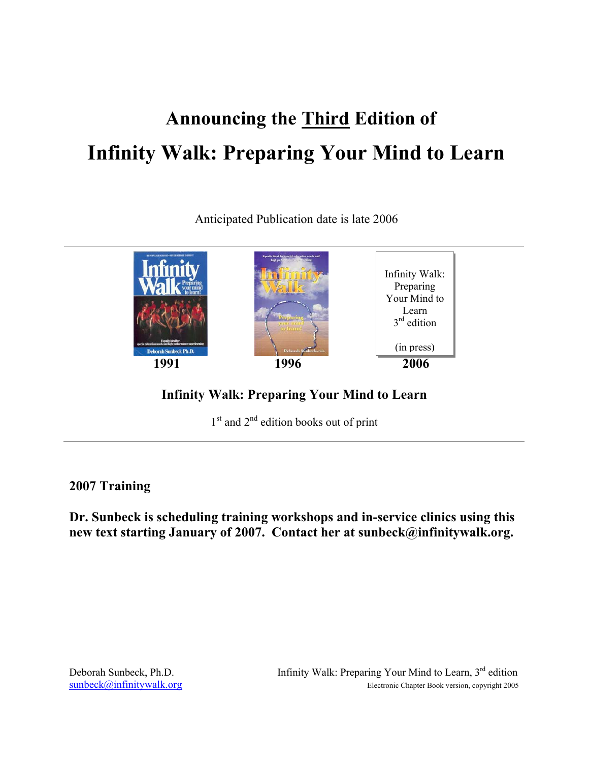# **Announcing the Third Edition of Infinity Walk: Preparing Your Mind to Learn**

Anticipated Publication date is late 2006



**Infinity Walk: Preparing Your Mind to Learn** 

 $1<sup>st</sup>$  and  $2<sup>nd</sup>$  edition books out of print

## **2007 Training**

**Dr. Sunbeck is scheduling training workshops and in-service clinics using this new text starting January of 2007. Contact her at sunbeck@infinitywalk.org.**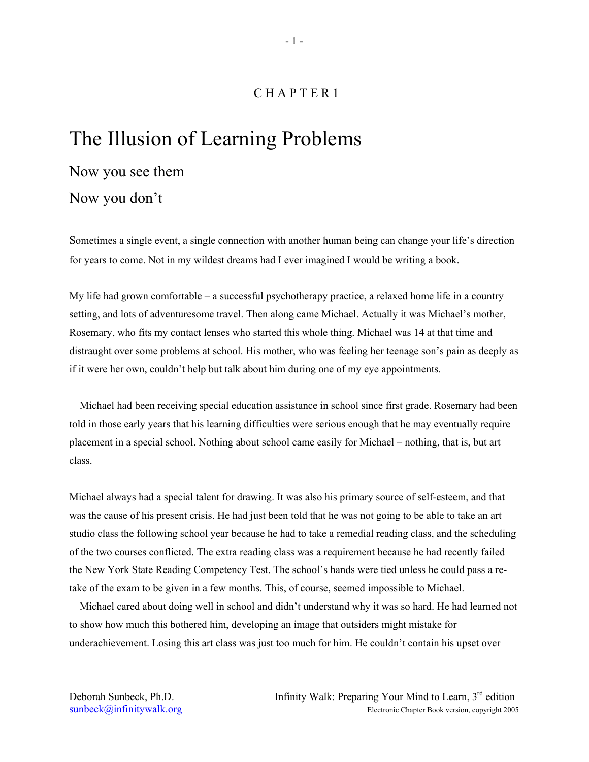#### C H A P T E R 1

# The Illusion of Learning Problems

# Now you see them

### Now you don't

Sometimes a single event, a single connection with another human being can change your life's direction for years to come. Not in my wildest dreams had I ever imagined I would be writing a book.

My life had grown comfortable – a successful psychotherapy practice, a relaxed home life in a country setting, and lots of adventuresome travel. Then along came Michael. Actually it was Michael's mother, Rosemary, who fits my contact lenses who started this whole thing. Michael was 14 at that time and distraught over some problems at school. His mother, who was feeling her teenage son's pain as deeply as if it were her own, couldn't help but talk about him during one of my eye appointments.

Michael had been receiving special education assistance in school since first grade. Rosemary had been told in those early years that his learning difficulties were serious enough that he may eventually require placement in a special school. Nothing about school came easily for Michael – nothing, that is, but art class.

Michael always had a special talent for drawing. It was also his primary source of self-esteem, and that was the cause of his present crisis. He had just been told that he was not going to be able to take an art studio class the following school year because he had to take a remedial reading class, and the scheduling of the two courses conflicted. The extra reading class was a requirement because he had recently failed the New York State Reading Competency Test. The school's hands were tied unless he could pass a retake of the exam to be given in a few months. This, of course, seemed impossible to Michael.

Michael cared about doing well in school and didn't understand why it was so hard. He had learned not to show how much this bothered him, developing an image that outsiders might mistake for underachievement. Losing this art class was just too much for him. He couldn't contain his upset over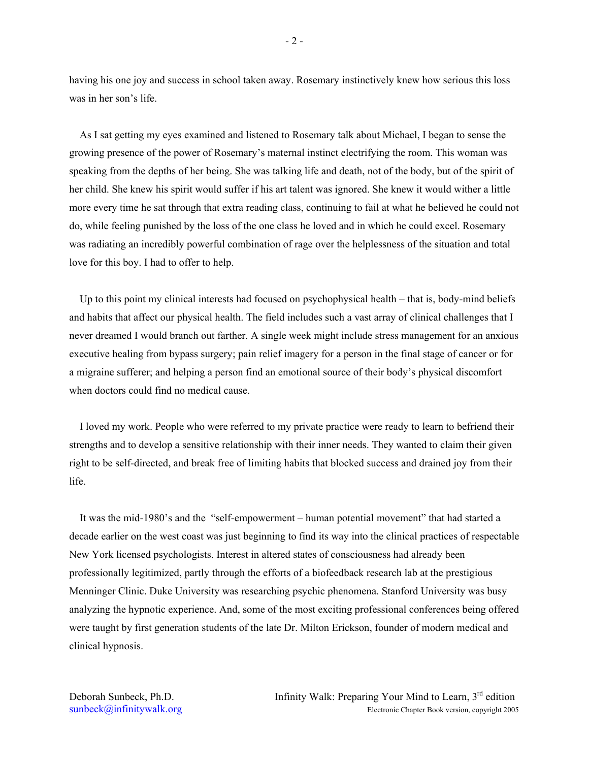having his one joy and success in school taken away. Rosemary instinctively knew how serious this loss was in her son's life.

As I sat getting my eyes examined and listened to Rosemary talk about Michael, I began to sense the growing presence of the power of Rosemary's maternal instinct electrifying the room. This woman was speaking from the depths of her being. She was talking life and death, not of the body, but of the spirit of her child. She knew his spirit would suffer if his art talent was ignored. She knew it would wither a little more every time he sat through that extra reading class, continuing to fail at what he believed he could not do, while feeling punished by the loss of the one class he loved and in which he could excel. Rosemary was radiating an incredibly powerful combination of rage over the helplessness of the situation and total love for this boy. I had to offer to help.

Up to this point my clinical interests had focused on psychophysical health – that is, body-mind beliefs and habits that affect our physical health. The field includes such a vast array of clinical challenges that I never dreamed I would branch out farther. A single week might include stress management for an anxious executive healing from bypass surgery; pain relief imagery for a person in the final stage of cancer or for a migraine sufferer; and helping a person find an emotional source of their body's physical discomfort when doctors could find no medical cause.

I loved my work. People who were referred to my private practice were ready to learn to befriend their strengths and to develop a sensitive relationship with their inner needs. They wanted to claim their given right to be self-directed, and break free of limiting habits that blocked success and drained joy from their life.

It was the mid-1980's and the "self-empowerment – human potential movement" that had started a decade earlier on the west coast was just beginning to find its way into the clinical practices of respectable New York licensed psychologists. Interest in altered states of consciousness had already been professionally legitimized, partly through the efforts of a biofeedback research lab at the prestigious Menninger Clinic. Duke University was researching psychic phenomena. Stanford University was busy analyzing the hypnotic experience. And, some of the most exciting professional conferences being offered were taught by first generation students of the late Dr. Milton Erickson, founder of modern medical and clinical hypnosis.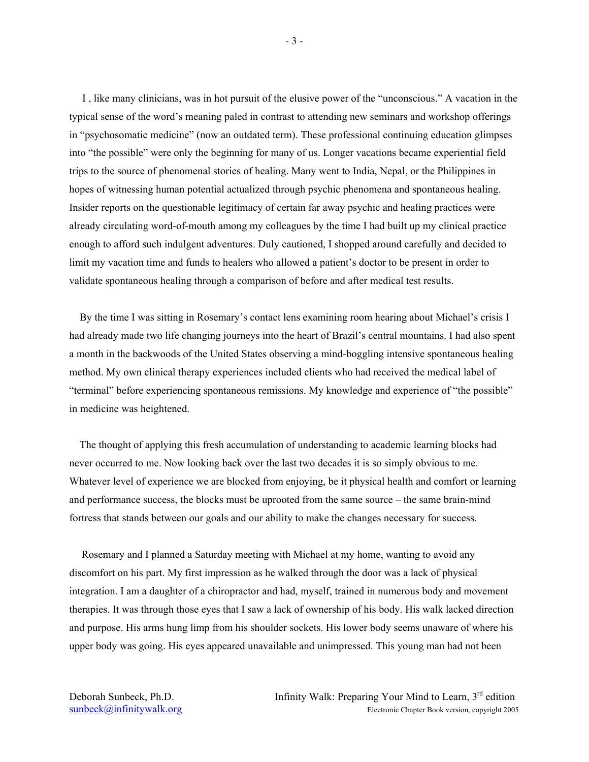I , like many clinicians, was in hot pursuit of the elusive power of the "unconscious." A vacation in the typical sense of the word's meaning paled in contrast to attending new seminars and workshop offerings in "psychosomatic medicine" (now an outdated term). These professional continuing education glimpses into "the possible" were only the beginning for many of us. Longer vacations became experiential field trips to the source of phenomenal stories of healing. Many went to India, Nepal, or the Philippines in hopes of witnessing human potential actualized through psychic phenomena and spontaneous healing. Insider reports on the questionable legitimacy of certain far away psychic and healing practices were already circulating word-of-mouth among my colleagues by the time I had built up my clinical practice enough to afford such indulgent adventures. Duly cautioned, I shopped around carefully and decided to limit my vacation time and funds to healers who allowed a patient's doctor to be present in order to validate spontaneous healing through a comparison of before and after medical test results.

By the time I was sitting in Rosemary's contact lens examining room hearing about Michael's crisis I had already made two life changing journeys into the heart of Brazil's central mountains. I had also spent a month in the backwoods of the United States observing a mind-boggling intensive spontaneous healing method. My own clinical therapy experiences included clients who had received the medical label of "terminal" before experiencing spontaneous remissions. My knowledge and experience of "the possible" in medicine was heightened.

The thought of applying this fresh accumulation of understanding to academic learning blocks had never occurred to me. Now looking back over the last two decades it is so simply obvious to me. Whatever level of experience we are blocked from enjoying, be it physical health and comfort or learning and performance success, the blocks must be uprooted from the same source – the same brain-mind fortress that stands between our goals and our ability to make the changes necessary for success.

Rosemary and I planned a Saturday meeting with Michael at my home, wanting to avoid any discomfort on his part. My first impression as he walked through the door was a lack of physical integration. I am a daughter of a chiropractor and had, myself, trained in numerous body and movement therapies. It was through those eyes that I saw a lack of ownership of his body. His walk lacked direction and purpose. His arms hung limp from his shoulder sockets. His lower body seems unaware of where his upper body was going. His eyes appeared unavailable and unimpressed. This young man had not been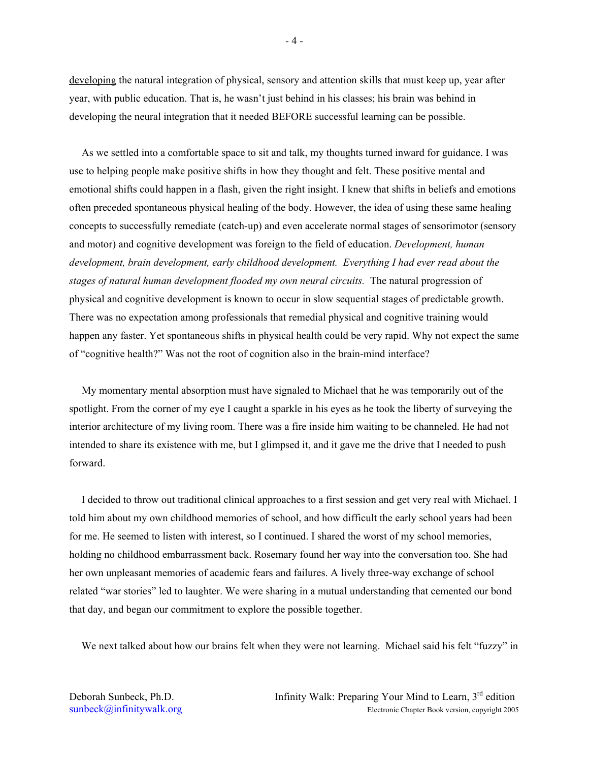developing the natural integration of physical, sensory and attention skills that must keep up, year after year, with public education. That is, he wasn't just behind in his classes; his brain was behind in developing the neural integration that it needed BEFORE successful learning can be possible.

As we settled into a comfortable space to sit and talk, my thoughts turned inward for guidance. I was use to helping people make positive shifts in how they thought and felt. These positive mental and emotional shifts could happen in a flash, given the right insight. I knew that shifts in beliefs and emotions often preceded spontaneous physical healing of the body. However, the idea of using these same healing concepts to successfully remediate (catch-up) and even accelerate normal stages of sensorimotor (sensory and motor) and cognitive development was foreign to the field of education. *Development, human development, brain development, early childhood development. Everything I had ever read about the stages of natural human development flooded my own neural circuits.* The natural progression of physical and cognitive development is known to occur in slow sequential stages of predictable growth. There was no expectation among professionals that remedial physical and cognitive training would happen any faster. Yet spontaneous shifts in physical health could be very rapid. Why not expect the same of "cognitive health?" Was not the root of cognition also in the brain-mind interface?

My momentary mental absorption must have signaled to Michael that he was temporarily out of the spotlight. From the corner of my eye I caught a sparkle in his eyes as he took the liberty of surveying the interior architecture of my living room. There was a fire inside him waiting to be channeled. He had not intended to share its existence with me, but I glimpsed it, and it gave me the drive that I needed to push forward.

I decided to throw out traditional clinical approaches to a first session and get very real with Michael. I told him about my own childhood memories of school, and how difficult the early school years had been for me. He seemed to listen with interest, so I continued. I shared the worst of my school memories, holding no childhood embarrassment back. Rosemary found her way into the conversation too. She had her own unpleasant memories of academic fears and failures. A lively three-way exchange of school related "war stories" led to laughter. We were sharing in a mutual understanding that cemented our bond that day, and began our commitment to explore the possible together.

We next talked about how our brains felt when they were not learning. Michael said his felt "fuzzy" in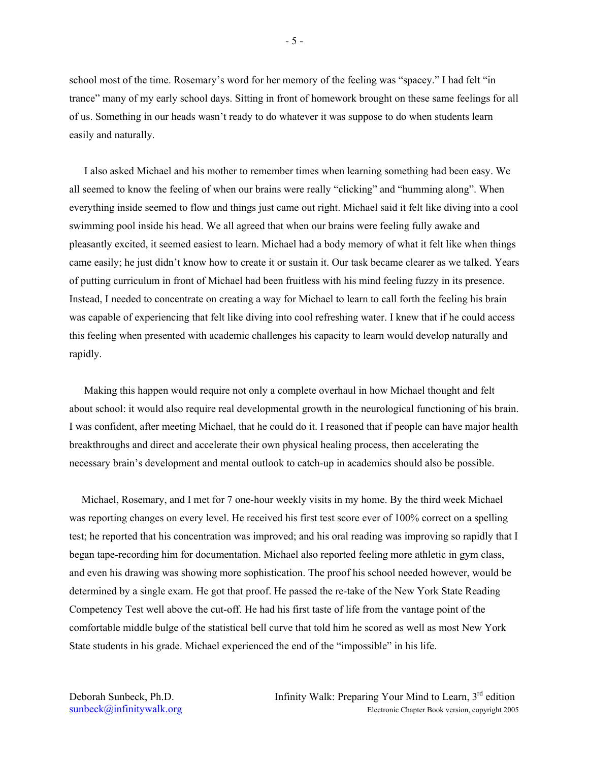school most of the time. Rosemary's word for her memory of the feeling was "spacey." I had felt "in trance" many of my early school days. Sitting in front of homework brought on these same feelings for all of us. Something in our heads wasn't ready to do whatever it was suppose to do when students learn easily and naturally.

 I also asked Michael and his mother to remember times when learning something had been easy. We all seemed to know the feeling of when our brains were really "clicking" and "humming along". When everything inside seemed to flow and things just came out right. Michael said it felt like diving into a cool swimming pool inside his head. We all agreed that when our brains were feeling fully awake and pleasantly excited, it seemed easiest to learn. Michael had a body memory of what it felt like when things came easily; he just didn't know how to create it or sustain it. Our task became clearer as we talked. Years of putting curriculum in front of Michael had been fruitless with his mind feeling fuzzy in its presence. Instead, I needed to concentrate on creating a way for Michael to learn to call forth the feeling his brain was capable of experiencing that felt like diving into cool refreshing water. I knew that if he could access this feeling when presented with academic challenges his capacity to learn would develop naturally and rapidly.

 Making this happen would require not only a complete overhaul in how Michael thought and felt about school: it would also require real developmental growth in the neurological functioning of his brain. I was confident, after meeting Michael, that he could do it. I reasoned that if people can have major health breakthroughs and direct and accelerate their own physical healing process, then accelerating the necessary brain's development and mental outlook to catch-up in academics should also be possible.

Michael, Rosemary, and I met for 7 one-hour weekly visits in my home. By the third week Michael was reporting changes on every level. He received his first test score ever of 100% correct on a spelling test; he reported that his concentration was improved; and his oral reading was improving so rapidly that I began tape-recording him for documentation. Michael also reported feeling more athletic in gym class, and even his drawing was showing more sophistication. The proof his school needed however, would be determined by a single exam. He got that proof. He passed the re-take of the New York State Reading Competency Test well above the cut-off. He had his first taste of life from the vantage point of the comfortable middle bulge of the statistical bell curve that told him he scored as well as most New York State students in his grade. Michael experienced the end of the "impossible" in his life.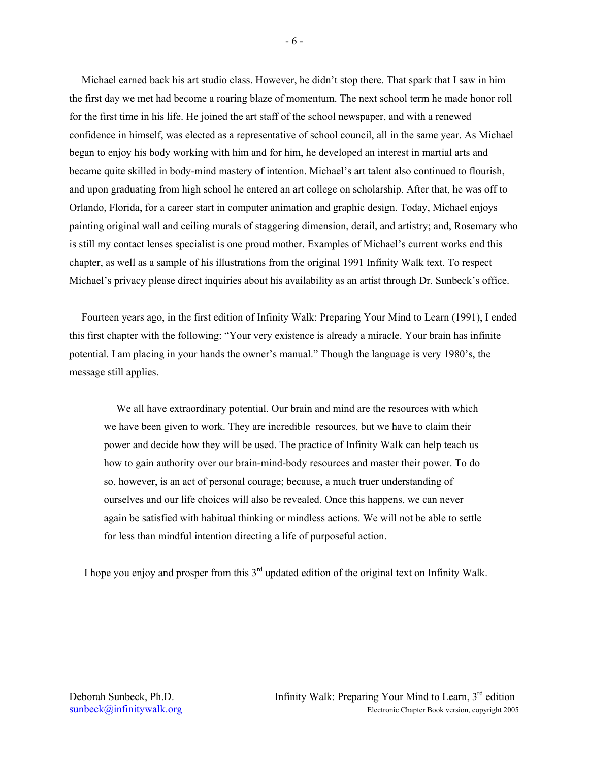Michael earned back his art studio class. However, he didn't stop there. That spark that I saw in him the first day we met had become a roaring blaze of momentum. The next school term he made honor roll for the first time in his life. He joined the art staff of the school newspaper, and with a renewed confidence in himself, was elected as a representative of school council, all in the same year. As Michael began to enjoy his body working with him and for him, he developed an interest in martial arts and became quite skilled in body-mind mastery of intention. Michael's art talent also continued to flourish, and upon graduating from high school he entered an art college on scholarship. After that, he was off to Orlando, Florida, for a career start in computer animation and graphic design. Today, Michael enjoys painting original wall and ceiling murals of staggering dimension, detail, and artistry; and, Rosemary who is still my contact lenses specialist is one proud mother. Examples of Michael's current works end this chapter, as well as a sample of his illustrations from the original 1991 Infinity Walk text. To respect Michael's privacy please direct inquiries about his availability as an artist through Dr. Sunbeck's office.

Fourteen years ago, in the first edition of Infinity Walk: Preparing Your Mind to Learn (1991), I ended this first chapter with the following: "Your very existence is already a miracle. Your brain has infinite potential. I am placing in your hands the owner's manual." Though the language is very 1980's, the message still applies.

We all have extraordinary potential. Our brain and mind are the resources with which we have been given to work. They are incredible resources, but we have to claim their power and decide how they will be used. The practice of Infinity Walk can help teach us how to gain authority over our brain-mind-body resources and master their power. To do so, however, is an act of personal courage; because, a much truer understanding of ourselves and our life choices will also be revealed. Once this happens, we can never again be satisfied with habitual thinking or mindless actions. We will not be able to settle for less than mindful intention directing a life of purposeful action.

I hope you enjoy and prosper from this  $3<sup>rd</sup>$  updated edition of the original text on Infinity Walk.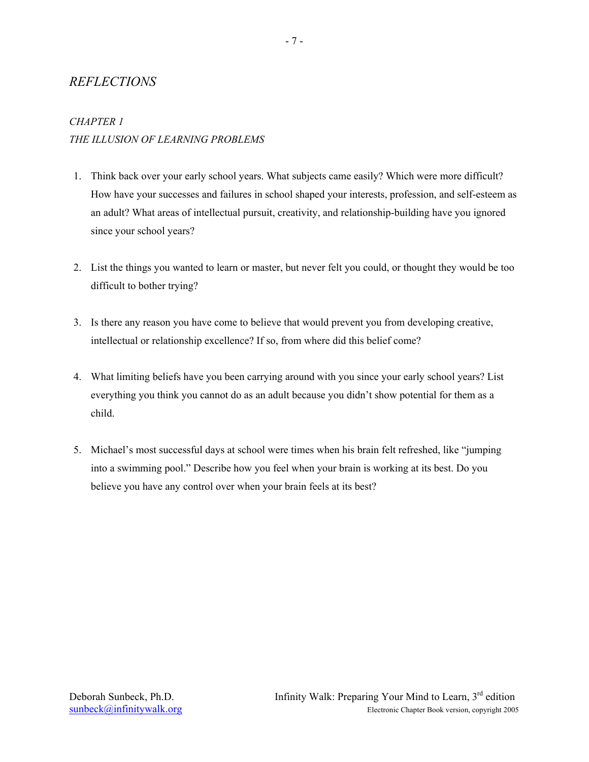### *REFLECTIONS*

### *CHAPTER 1 THE ILLUSION OF LEARNING PROBLEMS*

- 1. Think back over your early school years. What subjects came easily? Which were more difficult? How have your successes and failures in school shaped your interests, profession, and self-esteem as an adult? What areas of intellectual pursuit, creativity, and relationship-building have you ignored since your school years?
- 2. List the things you wanted to learn or master, but never felt you could, or thought they would be too difficult to bother trying?
- 3. Is there any reason you have come to believe that would prevent you from developing creative, intellectual or relationship excellence? If so, from where did this belief come?
- 4. What limiting beliefs have you been carrying around with you since your early school years? List everything you think you cannot do as an adult because you didn't show potential for them as a child.
- 5. Michael's most successful days at school were times when his brain felt refreshed, like "jumping into a swimming pool." Describe how you feel when your brain is working at its best. Do you believe you have any control over when your brain feels at its best?